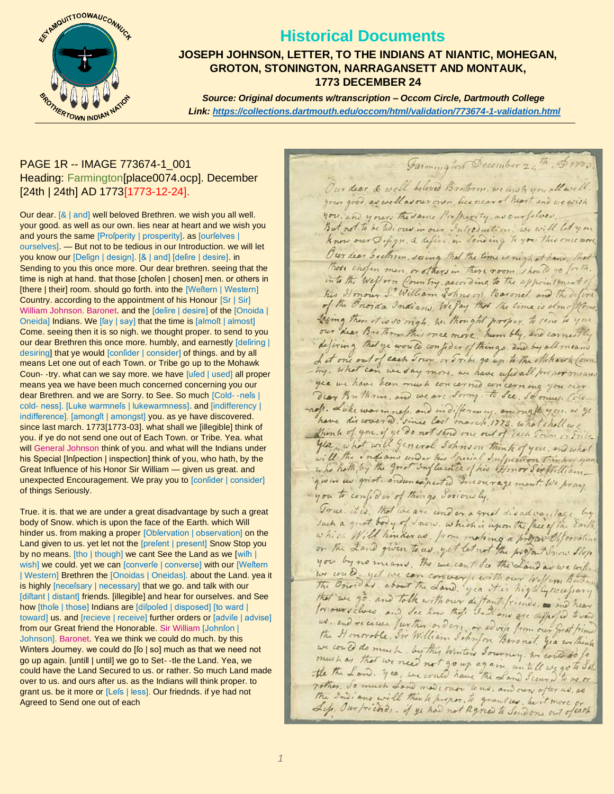

# **Historical Documents**

## **JOSEPH JOHNSON, LETTER, TO THE INDIANS AT NIANTIC, MOHEGAN, GROTON, STONINGTON, NARRAGANSETT AND MONTAUK, 1773 DECEMBER 24**

*Source: Original documents w/transcription – Occom Circle, Dartmouth College Link:<https://collections.dartmouth.edu/occom/html/validation/773674-1-validation.html>*

### PAGE 1R -- IMAGE 773674-1\_001 Heading: Farmington[place0074.ocp]. December [24th | 24th] AD 1773[1773-12-24].

Our dear. [& | and] well beloved Brethren. we wish you all well. your good. as well as our own. lies near at heart and we wish you and yours the same [Profperity | prosperity]. as [ourfelves | ourselves]. — But not to be tedious in our Introduction. we will let you know our [Defign | design]. [& | and] [defire | desire]. in Sending to you this once more. Our dear brethren. seeing that the time is nigh at hand. that those [cholen | chosen] men. or others in [there | their] room. should go forth. into the [Weftern | Western] Country. according to the appointment of his Honour [Sr | Sir] William Johnson. Baronet. and the [defire | desire] of the [Onoida | Oneida] Indians. We [fay | say] that the time is [almoft | almost] Come. seeing then it is so nigh. we thought proper. to send to you our dear Brethren this once more. humbly, and earnestly [defiring | desiring] that ye would [confider | consider] of things. and by all means Let one out of each Town. or Tribe go up to the Mohawk Coun‐ ‐try. what can we say more. we have [uſed | used] all proper means yea we have been much concerned concerning you our dear Brethren. and we are Sorry. to See. So much [Cold--nefs | cold- ness]. [Luke warmnels | lukewarmness]. and [indifferency | indifference]. [amongft | amongst] you. as ye have discovered. since last march. 1773[1773-03]. what shall we [illegible] think of you. if ye do not send one out of Each Town. or Tribe. Yea. what will General Johnson think of you. and what will the Indians under his Special [Infpection | inspection] think of you, who hath, by the Great Influence of his Honor Sir William — given us great. and unexpected Encouragement. We pray you to [confider | consider] of things Seriously.

True. it is. that we are under a great disadvantage by such a great body of Snow. which is upon the face of the Earth. which Will hinder us. from making a proper [Obfervation | observation] on the Land given to us. yet let not the [prefent | present] Snow Stop you by no means. [tho | though] we cant See the Land as we [wifh | wish] we could. yet we can [converfe | converse] with our [Weftern | Western] Brethren the [Onoidas | Oneidas]. about the Land. yea it is highly [necefsary | necessary] that we go. and talk with our [diftant | distant] friends. [illegible] and hear for ourselves. and See how [thofe | those] Indians are [difpofed | disposed] [to ward | toward] us. and [recieve | receive] further orders or [advife | advise] from our Great friend the Honorable. Sir William [Johnfon | Johnson]. Baronet. Yea we think we could do much. by this Winters Journey. we could do [fo | so] much as that we need not go up again. [untill | until] we go to Set--tle the Land. Yea, we could have the Land Secured to us. or rather. So much Land made over to us. and ours after us. as the Indians will think proper. to grant us. be it more or [Lefs | less]. Our friednds. if ye had not Agreed to Send one out of each

Farmington December 24th Amo

Our dear & well beloved Brotheron, we wish you all well. your good as well as our own, lies near at heart, and we wish you, and your the same Properity, as our felves. But not to be Wions in our Introduction, we will let you know our Defign, & define in Sending to you this once none Our dear boethren , saing that the time is night at hand . that those enfor men, or others in these room should go forth. his Il mour S' William Johnson, Baronel, and the define of the Provida Indians, We Pay that the time is almostlone Leing then it is so night, we thought proper to sene to you our dear Bre Thren this once more. hum bly, and carmently defiring that ye would confider of things and by all means Let one out of each Town or Tribe go up to the Mohawk Counyes we have been much concerned concerning you over Dear Brothour. and we are Sorry. to See. Solomus. Colonot Luke warm neft and indifferency, amongth you as ye think of you, if ye do not send one out of rach Trum or Trile. year what will general School one out of lack 8 times of side. you to confider of things Seriously.

Tous it is that we are und or a great disadvantage by such a great body of Inow, which is upon the face of the Earth. which Will hinder as . from moting a proger Offeredin on the Land given to us. yet let not the propart Snow Stop you by no means, the we can't So the Land as we with we could yet we can convert with our Welton Button that we go. and tolk with our diffent friends. - and hear The we go. and tothe with our deftant friends. Ind hear<br>In our veloce and dee how they God one are affected to war us. and receive further or doing from our great him we could do much by this Winters Sourcey. we could do for much as that we need not go up again, untill we go to go the the Land. I ca, we comed have the Land Scenera to us, or rother. So much Land mode over tower and seems to us, or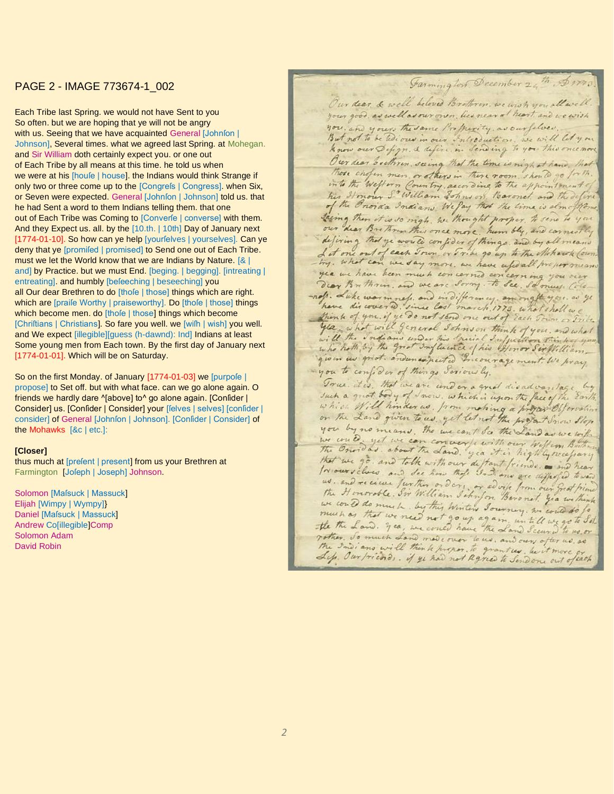#### PAGE 2 - IMAGE 773674-1\_002

Each Tribe last Spring. we would not have Sent to you So often. but we are hoping that ye will not be angry with us. Seeing that we have acquainted General [Johnfon | Johnson], Several times. what we agreed last Spring. at Mohegan. and Sir William doth certainly expect you. or one out of Each Tribe by all means at this time. he told us when we were at his [houfe | house]. the Indians would think Strange if only two or three come up to the [Congrefs | Congress]. when Six, or Seven were expected. General [Johnfon | Johnson] told us. that he had Sent a word to them Indians telling them. that one out of Each Tribe was Coming to [Converfe | converse] with them. And they Expect us. all. by the [10.th. | 10th] Day of January next [1774-01-10]. So how can ye help [yourlelves | yourselves]. Can ye deny that ye [promifed | promised] to Send one out of Each Tribe. must we let the World know that we are Indians by Nature. [& | and] by Practice. but we must End. [beging. | begging]. [intreating | entreating]. and humbly [befeeching | beseeching] you all Our dear Brethren to do [thofe | those] things which are right. which are [praife Worthy | praiseworthy]. Do [thofe | those] things which become men. do [thofe | those] things which become [Chriftians | Christians]. So fare you well. we [wifh | wish] you well. and We expect [illegible][guess (h-dawnd): Ind] Indians at least Some young men from Each town. By the first day of January next [1774-01-01]. Which will be on Saturday.

So on the first Monday. of January [1774-01-03] we [purpofe | propose] to Set off. but with what face. can we go alone again. O friends we hardly dare ^[above] to^ go alone again. [Confider | Consider] us. [Confider | Consider] your [felves | selves] [confider | consider] of General [Johnfon | Johnson]. [Confider | Consider] of the Mohawks [&c | etc.]:

#### **[Closer]**

thus much at [prefent | present] from us your Brethren at Farmington [Jofeph | Joseph] Johnson.

Solomon [Maſsuck | Massuck] Elijah [Wimpy | Wympy]} Daniel [Maſsuck | Massuck] Andrew Co[illegible]Comp Solomon Adam David Robin

Farming tost December 24th Arms

Our dear & well beloved Brotheren, we wish you all well. your good as well as our own, lies near at heart and we wish you, and your the same Properity, as our felves,

But not to be Wions in our Introduction, we will let you know our Defign. & define in Sending to you this once none

Our dear boethren, saing that the time is night at have that there enfor men or others in there room, should go forth. into the Well was Country, according to the appointment of our dear Brethren this once more. hum bly, and cornectly defiring that ye would confider of things and by all means Let one out of each Sound or Friday go up to the Michael Com. Dear Brothoun, and we are Sorry. to See. Solomus, Colo. Dear Brothoun, and we are sorry. To see, so must like<br>and Suke warm neft, and indifferency, an ength you, as you<br>have discovered, since last march. 1773, what shall we<br>year what will general school one out of Each From Str

you to confider of things Seriously.

True it is that we are und or a great disadvantage by you by no means. The we can't So the Land as we with we can D. yet we can converge with our wifem Button that we go and tolk with our deftant friends. and hear In our schoes and see how that Indians are difficult to war in our receive and dee how they said one are appeled to were us . and receiver further or dong and for from our great friend we could do much by this Winters Sourcey. we could do to much as that we need not go up again untill we go to Sol. rother. So much Land we're oner to us, and scene it to us, or<br>The son's and will think proper to grantees, be it more or<br>Lip, Our priends. if ye had not agreed to Sendone out ofeach